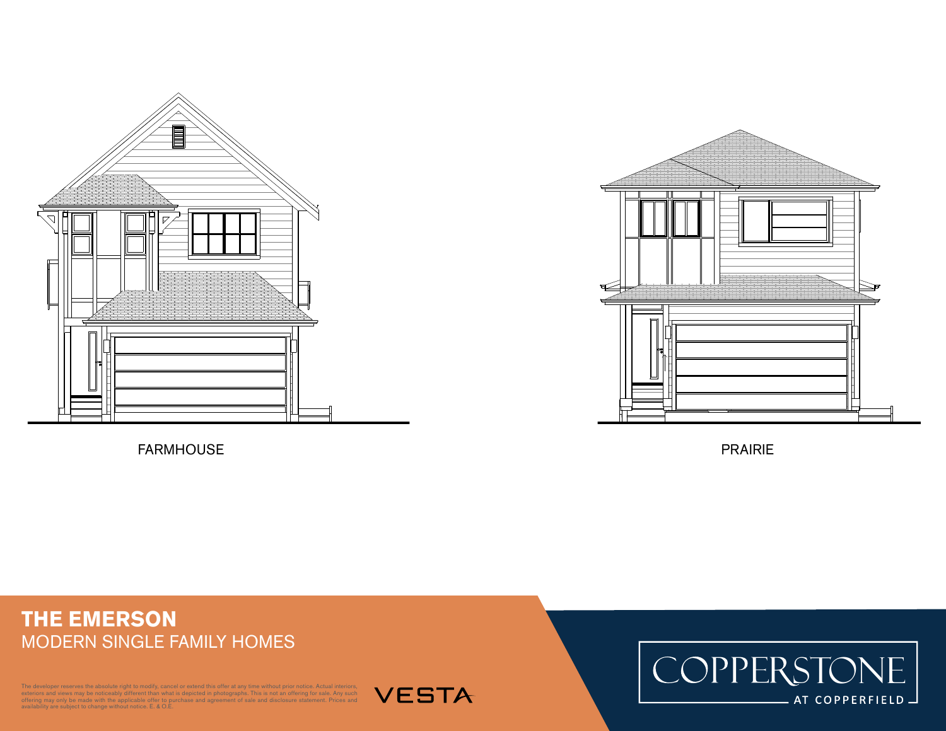

FARMHOUSE PRAIRIE



## **THE EMERSON** MODERN SINGLE FAMILY HOMES

B SCALE: 1/8" = 1'-0"

The developer reserves the absolute right to modify, cancel or extend this offer at any time without prior notice. Actual interiors, exteriors and views may be noticeably different than what is depicted in photographs. This is not an offering for sale. Any such<br>offering may only be made with the applicable offer to purchase and agreement of sale and dis